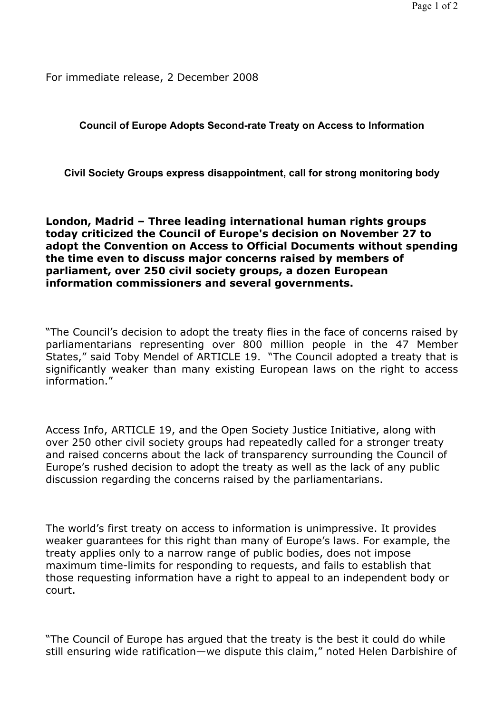For immediate release, 2 December 2008

**Council of Europe Adopts Second-rate Treaty on Access to Information**

**Civil Society Groups express disappointment, call for strong monitoring body**

**London, Madrid – Three leading international human rights groups today criticized the Council of Europe's decision on November 27 to adopt the Convention on Access to Official Documents without spending the time even to discuss major concerns raised by members of parliament, over 250 civil society groups, a dozen European information commissioners and several governments.** 

"The Council's decision to adopt the treaty flies in the face of concerns raised by parliamentarians representing over 800 million people in the 47 Member States," said Toby Mendel of ARTICLE 19. "The Council adopted a treaty that is significantly weaker than many existing European laws on the right to access information."

Access Info, ARTICLE 19, and the Open Society Justice Initiative, along with over 250 other civil society groups had repeatedly called for a stronger treaty and raised concerns about the lack of transparency surrounding the Council of Europe's rushed decision to adopt the treaty as well as the lack of any public discussion regarding the concerns raised by the parliamentarians.

The world's first treaty on access to information is unimpressive. It provides weaker guarantees for this right than many of Europe's laws. For example, the treaty applies only to a narrow range of public bodies, does not impose maximum time-limits for responding to requests, and fails to establish that those requesting information have a right to appeal to an independent body or court.

"The Council of Europe has argued that the treaty is the best it could do while still ensuring wide ratification—we dispute this claim," noted Helen Darbishire of